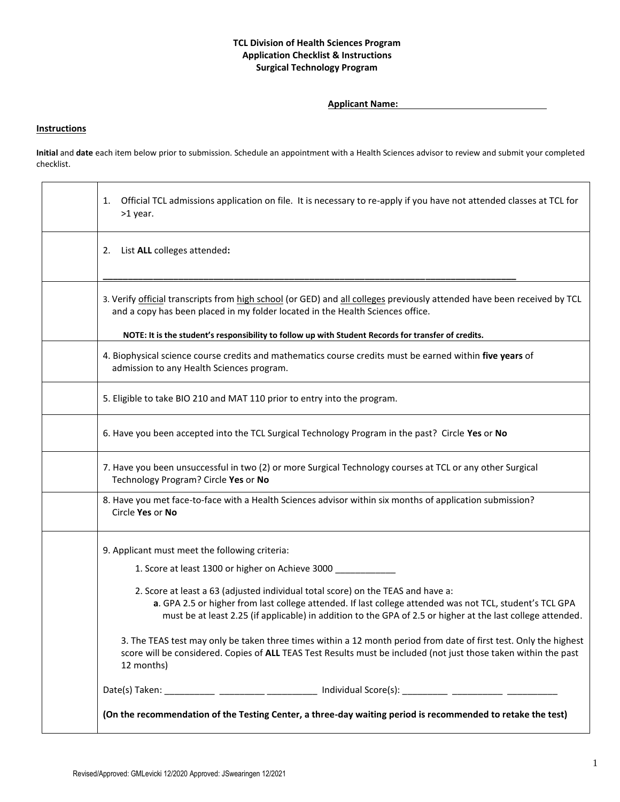## **TCL Division of Health Sciences Program Application Checklist & Instructions Surgical Technology Program**

**Applicant Name:** 

## **Instructions**

**Initial** and **date** each item below prior to submission. Schedule an appointment with a Health Sciences advisor to review and submit your completed checklist.

| Official TCL admissions application on file. It is necessary to re-apply if you have not attended classes at TCL for<br>1.<br>>1 year.                                                                                                                                                                           |
|------------------------------------------------------------------------------------------------------------------------------------------------------------------------------------------------------------------------------------------------------------------------------------------------------------------|
| List ALL colleges attended:<br>2.                                                                                                                                                                                                                                                                                |
| 3. Verify official transcripts from high school (or GED) and all colleges previously attended have been received by TCL<br>and a copy has been placed in my folder located in the Health Sciences office.<br>NOTE: It is the student's responsibility to follow up with Student Records for transfer of credits. |
| 4. Biophysical science course credits and mathematics course credits must be earned within five years of<br>admission to any Health Sciences program.                                                                                                                                                            |
| 5. Eligible to take BIO 210 and MAT 110 prior to entry into the program.                                                                                                                                                                                                                                         |
| 6. Have you been accepted into the TCL Surgical Technology Program in the past? Circle Yes or No                                                                                                                                                                                                                 |
| 7. Have you been unsuccessful in two (2) or more Surgical Technology courses at TCL or any other Surgical<br>Technology Program? Circle Yes or No                                                                                                                                                                |
| 8. Have you met face-to-face with a Health Sciences advisor within six months of application submission?<br>Circle Yes or No                                                                                                                                                                                     |
| 9. Applicant must meet the following criteria:                                                                                                                                                                                                                                                                   |
| 1. Score at least 1300 or higher on Achieve 3000 ____________                                                                                                                                                                                                                                                    |
| 2. Score at least a 63 (adjusted individual total score) on the TEAS and have a:<br>a. GPA 2.5 or higher from last college attended. If last college attended was not TCL, student's TCL GPA<br>must be at least 2.25 (if applicable) in addition to the GPA of 2.5 or higher at the last college attended.      |
| 3. The TEAS test may only be taken three times within a 12 month period from date of first test. Only the highest<br>score will be considered. Copies of ALL TEAS Test Results must be included (not just those taken within the past<br>12 months)                                                              |
| Date(s) Taken: ____________ __________ ___________ Individual Score(s): _________ ___________ ___________                                                                                                                                                                                                        |
| (On the recommendation of the Testing Center, a three-day waiting period is recommended to retake the test)                                                                                                                                                                                                      |